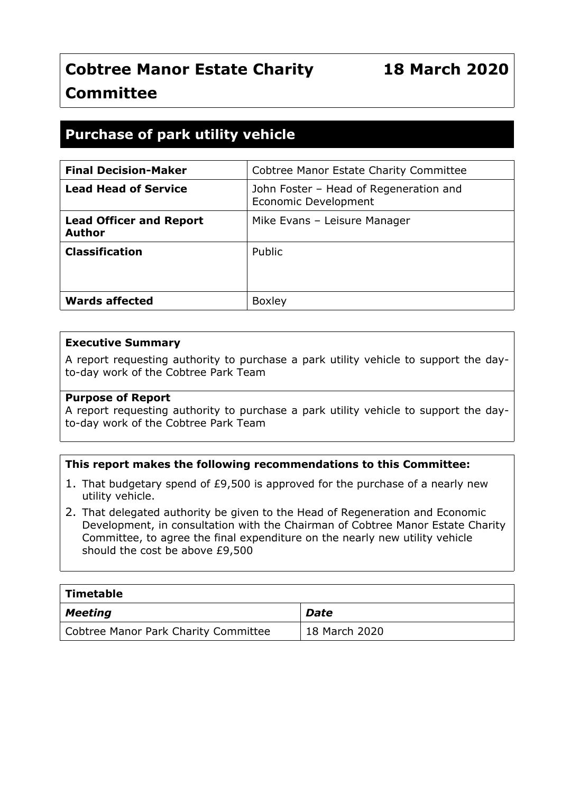## **Cobtree Manor Estate Charity Committee**

### **Purchase of park utility vehicle**

| <b>Final Decision-Maker</b>                     | Cobtree Manor Estate Charity Committee                                |
|-------------------------------------------------|-----------------------------------------------------------------------|
| <b>Lead Head of Service</b>                     | John Foster - Head of Regeneration and<br><b>Economic Development</b> |
| <b>Lead Officer and Report</b><br><b>Author</b> | Mike Evans - Leisure Manager                                          |
| <b>Classification</b>                           | Public                                                                |
| <b>Wards affected</b>                           | <b>Boxley</b>                                                         |

#### **Executive Summary**

A report requesting authority to purchase a park utility vehicle to support the dayto-day work of the Cobtree Park Team

#### **Purpose of Report**

A report requesting authority to purchase a park utility vehicle to support the dayto-day work of the Cobtree Park Team

#### **This report makes the following recommendations to this Committee:**

- 1. That budgetary spend of £9,500 is approved for the purchase of a nearly new utility vehicle.
- 2. That delegated authority be given to the Head of Regeneration and Economic Development, in consultation with the Chairman of Cobtree Manor Estate Charity Committee, to agree the final expenditure on the nearly new utility vehicle should the cost be above £9,500

| $\mid$ Timetable                     |               |
|--------------------------------------|---------------|
| $\vert$ Meeting                      | Date          |
| Cobtree Manor Park Charity Committee | 18 March 2020 |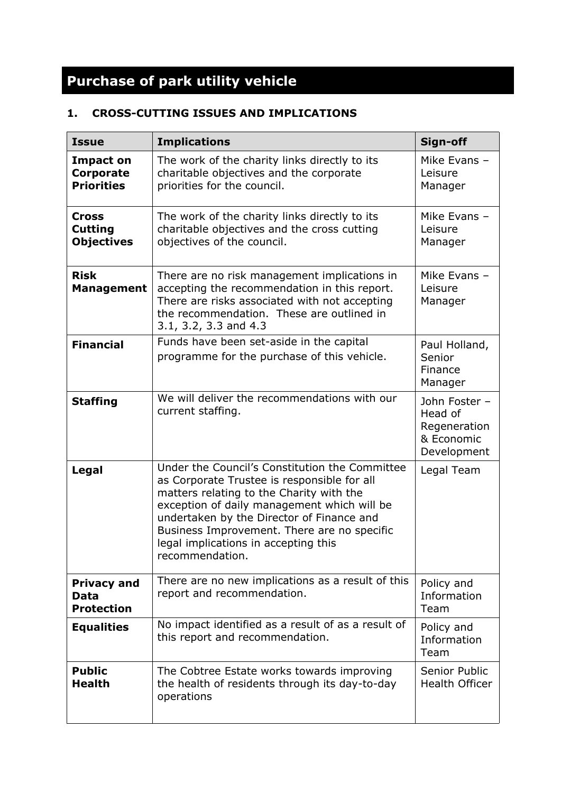# **Purchase of park utility vehicle**

### **1. CROSS-CUTTING ISSUES AND IMPLICATIONS**

| <b>Issue</b>                                        | <b>Implications</b>                                                                                                                                                                                                                                                                                                                             | Sign-off                                                              |
|-----------------------------------------------------|-------------------------------------------------------------------------------------------------------------------------------------------------------------------------------------------------------------------------------------------------------------------------------------------------------------------------------------------------|-----------------------------------------------------------------------|
| <b>Impact on</b><br>Corporate<br><b>Priorities</b>  | The work of the charity links directly to its<br>charitable objectives and the corporate<br>priorities for the council.                                                                                                                                                                                                                         | Mike Evans -<br>Leisure<br>Manager                                    |
| <b>Cross</b><br><b>Cutting</b><br><b>Objectives</b> | The work of the charity links directly to its<br>charitable objectives and the cross cutting<br>objectives of the council.                                                                                                                                                                                                                      | Mike Evans -<br>Leisure<br>Manager                                    |
| <b>Risk</b><br><b>Management</b>                    | There are no risk management implications in<br>accepting the recommendation in this report.<br>There are risks associated with not accepting<br>the recommendation. These are outlined in<br>3.1, 3.2, 3.3 and 4.3                                                                                                                             | Mike Evans -<br>Leisure<br>Manager                                    |
| <b>Financial</b>                                    | Funds have been set-aside in the capital<br>programme for the purchase of this vehicle.                                                                                                                                                                                                                                                         | Paul Holland,<br>Senior<br>Finance<br>Manager                         |
| <b>Staffing</b>                                     | We will deliver the recommendations with our<br>current staffing.                                                                                                                                                                                                                                                                               | John Foster -<br>Head of<br>Regeneration<br>& Economic<br>Development |
| Legal                                               | Under the Council's Constitution the Committee<br>as Corporate Trustee is responsible for all<br>matters relating to the Charity with the<br>exception of daily management which will be<br>undertaken by the Director of Finance and<br>Business Improvement. There are no specific<br>legal implications in accepting this<br>recommendation. | Legal Team                                                            |
| <b>Privacy and</b><br>Data<br><b>Protection</b>     | There are no new implications as a result of this<br>report and recommendation.                                                                                                                                                                                                                                                                 | Policy and<br>Information<br>Team                                     |
| <b>Equalities</b>                                   | No impact identified as a result of as a result of<br>this report and recommendation.                                                                                                                                                                                                                                                           | Policy and<br>Information<br>Team                                     |
| <b>Public</b><br><b>Health</b>                      | The Cobtree Estate works towards improving<br>the health of residents through its day-to-day<br>operations                                                                                                                                                                                                                                      | Senior Public<br><b>Health Officer</b>                                |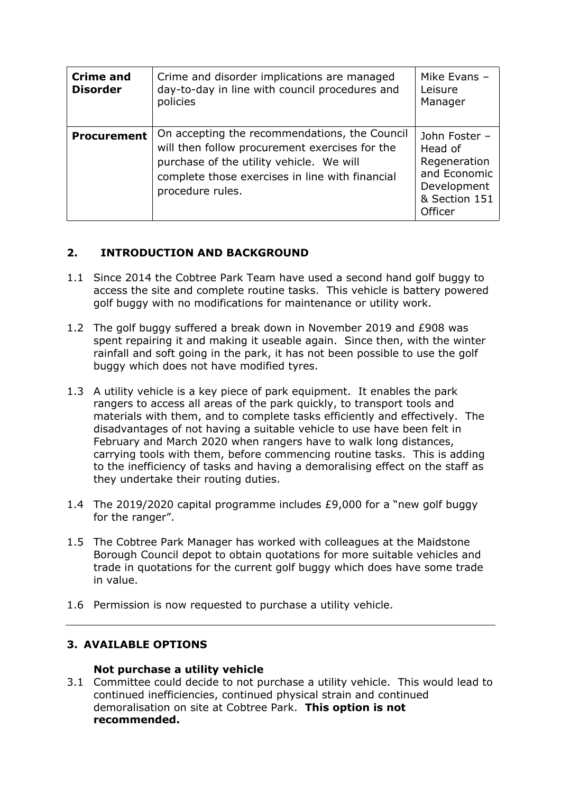| <b>Crime and</b><br><b>Disorder</b> | Crime and disorder implications are managed<br>day-to-day in line with council procedures and<br>policies                                                                                                          | Mike Evans -<br>Leisure<br>Manager                                                                  |
|-------------------------------------|--------------------------------------------------------------------------------------------------------------------------------------------------------------------------------------------------------------------|-----------------------------------------------------------------------------------------------------|
| <b>Procurement</b>                  | On accepting the recommendations, the Council<br>will then follow procurement exercises for the<br>purchase of the utility vehicle. We will<br>complete those exercises in line with financial<br>procedure rules. | John Foster -<br>Head of<br>Regeneration<br>and Economic<br>Development<br>& Section 151<br>Officer |

#### **2. INTRODUCTION AND BACKGROUND**

- 1.1 Since 2014 the Cobtree Park Team have used a second hand golf buggy to access the site and complete routine tasks. This vehicle is battery powered golf buggy with no modifications for maintenance or utility work.
- 1.2 The golf buggy suffered a break down in November 2019 and £908 was spent repairing it and making it useable again. Since then, with the winter rainfall and soft going in the park, it has not been possible to use the golf buggy which does not have modified tyres.
- 1.3 A utility vehicle is a key piece of park equipment. It enables the park rangers to access all areas of the park quickly, to transport tools and materials with them, and to complete tasks efficiently and effectively. The disadvantages of not having a suitable vehicle to use have been felt in February and March 2020 when rangers have to walk long distances, carrying tools with them, before commencing routine tasks. This is adding to the inefficiency of tasks and having a demoralising effect on the staff as they undertake their routing duties.
- 1.4 The 2019/2020 capital programme includes £9,000 for a "new golf buggy for the ranger".
- 1.5 The Cobtree Park Manager has worked with colleagues at the Maidstone Borough Council depot to obtain quotations for more suitable vehicles and trade in quotations for the current golf buggy which does have some trade in value.
- 1.6 Permission is now requested to purchase a utility vehicle.

#### **3. AVAILABLE OPTIONS**

#### **Not purchase a utility vehicle**

3.1 Committee could decide to not purchase a utility vehicle. This would lead to continued inefficiencies, continued physical strain and continued demoralisation on site at Cobtree Park. **This option is not recommended.**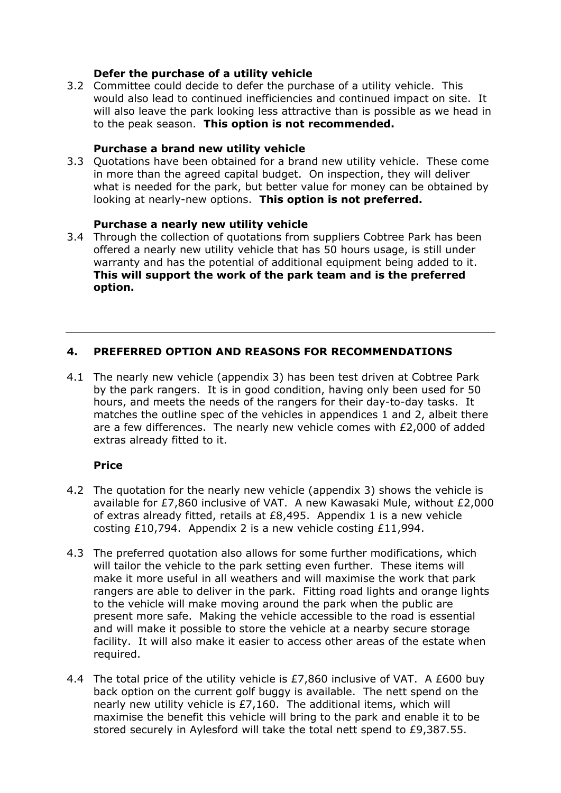#### **Defer the purchase of a utility vehicle**

3.2 Committee could decide to defer the purchase of a utility vehicle. This would also lead to continued inefficiencies and continued impact on site. It will also leave the park looking less attractive than is possible as we head in to the peak season. **This option is not recommended.**

#### **Purchase a brand new utility vehicle**

3.3 Quotations have been obtained for a brand new utility vehicle. These come in more than the agreed capital budget. On inspection, they will deliver what is needed for the park, but better value for money can be obtained by looking at nearly-new options. **This option is not preferred.**

#### **Purchase a nearly new utility vehicle**

3.4 Through the collection of quotations from suppliers Cobtree Park has been offered a nearly new utility vehicle that has 50 hours usage, is still under warranty and has the potential of additional equipment being added to it. **This will support the work of the park team and is the preferred option.**

#### **4. PREFERRED OPTION AND REASONS FOR RECOMMENDATIONS**

4.1 The nearly new vehicle (appendix 3) has been test driven at Cobtree Park by the park rangers. It is in good condition, having only been used for 50 hours, and meets the needs of the rangers for their day-to-day tasks. It matches the outline spec of the vehicles in appendices 1 and 2, albeit there are a few differences. The nearly new vehicle comes with £2,000 of added extras already fitted to it.

#### **Price**

- 4.2 The quotation for the nearly new vehicle (appendix 3) shows the vehicle is available for £7,860 inclusive of VAT. A new Kawasaki Mule, without £2,000 of extras already fitted, retails at £8,495. Appendix 1 is a new vehicle costing £10,794. Appendix 2 is a new vehicle costing £11,994.
- 4.3 The preferred quotation also allows for some further modifications, which will tailor the vehicle to the park setting even further. These items will make it more useful in all weathers and will maximise the work that park rangers are able to deliver in the park. Fitting road lights and orange lights to the vehicle will make moving around the park when the public are present more safe. Making the vehicle accessible to the road is essential and will make it possible to store the vehicle at a nearby secure storage facility. It will also make it easier to access other areas of the estate when required.
- 4.4 The total price of the utility vehicle is £7,860 inclusive of VAT. A £600 buy back option on the current golf buggy is available. The nett spend on the nearly new utility vehicle is £7,160. The additional items, which will maximise the benefit this vehicle will bring to the park and enable it to be stored securely in Aylesford will take the total nett spend to £9,387.55.